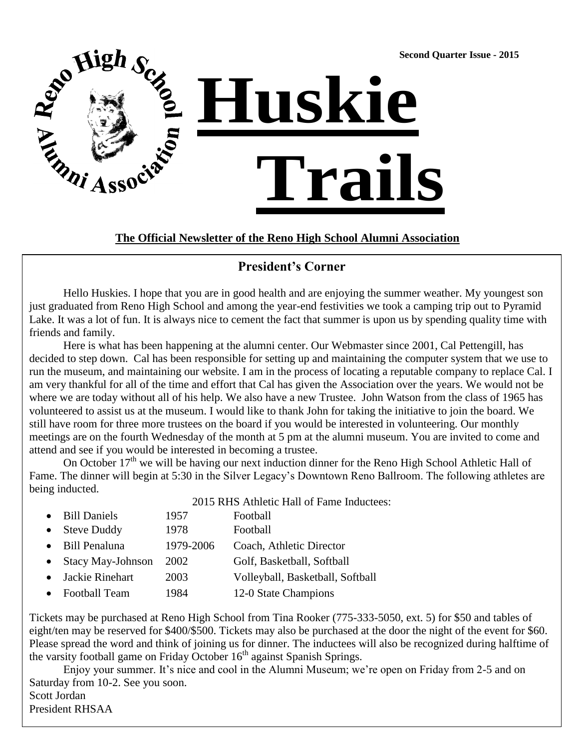

**The Official Newsletter of the Reno High School Alumni Association**

### **President's Corner**

Hello Huskies. I hope that you are in good health and are enjoying the summer weather. My youngest son just graduated from Reno High School and among the year-end festivities we took a camping trip out to Pyramid Lake. It was a lot of fun. It is always nice to cement the fact that summer is upon us by spending quality time with friends and family.

Here is what has been happening at the alumni center. Our Webmaster since 2001, Cal Pettengill, has decided to step down. Cal has been responsible for setting up and maintaining the computer system that we use to run the museum, and maintaining our website. I am in the process of locating a reputable company to replace Cal. I am very thankful for all of the time and effort that Cal has given the Association over the years. We would not be where we are today without all of his help. We also have a new Trustee. John Watson from the class of 1965 has volunteered to assist us at the museum. I would like to thank John for taking the initiative to join the board. We still have room for three more trustees on the board if you would be interested in volunteering. Our monthly meetings are on the fourth Wednesday of the month at 5 pm at the alumni museum. You are invited to come and attend and see if you would be interested in becoming a trustee.

On October 17<sup>th</sup> we will be having our next induction dinner for the Reno High School Athletic Hall of Fame. The dinner will begin at 5:30 in the Silver Legacy's Downtown Reno Ballroom. The following athletes are being inducted.

|           |                          | 2015 RHS Athletic Hall of Fame Inductees: |                                  |  |
|-----------|--------------------------|-------------------------------------------|----------------------------------|--|
|           | • Bill Daniels           | 1957                                      | Football                         |  |
|           | • Steve Duddy            | 1978                                      | Football                         |  |
|           | • Bill Penaluna          | 1979-2006                                 | Coach, Athletic Director         |  |
| $\bullet$ | <b>Stacy May-Johnson</b> | 2002                                      | Golf, Basketball, Softball       |  |
|           | • Jackie Rinehart        | 2003                                      | Volleyball, Basketball, Softball |  |
|           | • Football Team          | 1984                                      | 12-0 State Champions             |  |
|           |                          |                                           |                                  |  |

Tickets may be purchased at Reno High School from Tina Rooker (775-333-5050, ext. 5) for \$50 and tables of eight/ten may be reserved for \$400/\$500. Tickets may also be purchased at the door the night of the event for \$60. Please spread the word and think of joining us for dinner. The inductees will also be recognized during halftime of the varsity football game on Friday October 16<sup>th</sup> against Spanish Springs.

Enjoy your summer. It's nice and cool in the Alumni Museum; we're open on Friday from 2-5 and on Saturday from 10-2. See you soon. Scott Jordan

President RHSAA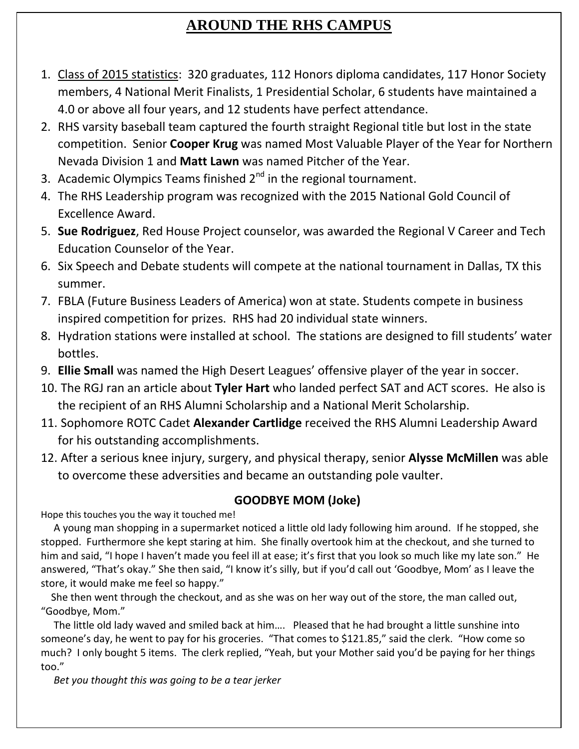# **AROUND THE RHS CAMPUS**

- 1. Class of 2015 statistics: 320 graduates, 112 Honors diploma candidates, 117 Honor Society members, 4 National Merit Finalists, 1 Presidential Scholar, 6 students have maintained a 4.0 or above all four years, and 12 students have perfect attendance.
- 2. RHS varsity baseball team captured the fourth straight Regional title but lost in the state competition. Senior **Cooper Krug** was named Most Valuable Player of the Year for Northern Nevada Division 1 and **Matt Lawn** was named Pitcher of the Year.
- 3. Academic Olympics Teams finished  $2^{nd}$  in the regional tournament.
- 4. The RHS Leadership program was recognized with the 2015 National Gold Council of Excellence Award.
- 5. **Sue Rodriguez**, Red House Project counselor, was awarded the Regional V Career and Tech Education Counselor of the Year.
- 6. Six Speech and Debate students will compete at the national tournament in Dallas, TX this summer.
- 7. FBLA (Future Business Leaders of America) won at state. Students compete in business inspired competition for prizes. RHS had 20 individual state winners.
- 8. Hydration stations were installed at school. The stations are designed to fill students' water bottles.
- 9. **Ellie Small** was named the High Desert Leagues' offensive player of the year in soccer.
- 10. The RGJ ran an article about **Tyler Hart** who landed perfect SAT and ACT scores. He also is the recipient of an RHS Alumni Scholarship and a National Merit Scholarship.
- 11. Sophomore ROTC Cadet **Alexander Cartlidge** received the RHS Alumni Leadership Award for his outstanding accomplishments.
- 12. After a serious knee injury, surgery, and physical therapy, senior **Alysse McMillen** was able to overcome these adversities and became an outstanding pole vaulter.

### **GOODBYE MOM (Joke)**

Hope this touches you the way it touched me!

 A young man shopping in a supermarket noticed a little old lady following him around. If he stopped, she stopped. Furthermore she kept staring at him. She finally overtook him at the checkout, and she turned to him and said, "I hope I haven't made you feel ill at ease; it's first that you look so much like my late son." He answered, "That's okay." She then said, "I know it's silly, but if you'd call out 'Goodbye, Mom' as I leave the store, it would make me feel so happy."

 She then went through the checkout, and as she was on her way out of the store, the man called out, "Goodbye, Mom."

 The little old lady waved and smiled back at him…. Pleased that he had brought a little sunshine into someone's day, he went to pay for his groceries. "That comes to \$121.85," said the clerk. "How come so much? I only bought 5 items. The clerk replied, "Yeah, but your Mother said you'd be paying for her things too."

*Bet you thought this was going to be a tear jerker*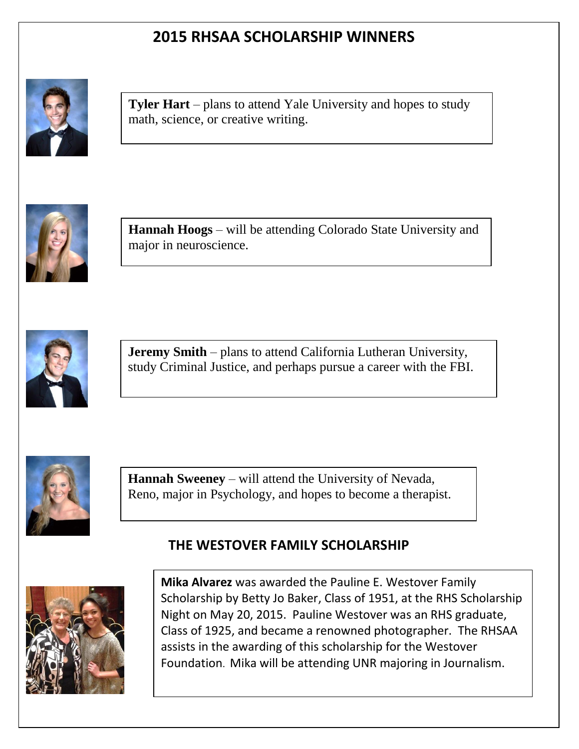# **2015 RHSAA SCHOLARSHIP WINNERS**



math, science, or creative writing. **Tyler Hart** – plans to attend Yale University and hopes to study



**Hannah Hoogs** – will be attending Colorado State University and never fire, and always believe in yourself, you can rise above those who try to put you down.  $\frac{1}{2}$ 



**Jeremy Smith** – plans to attend California Lutheran University, study Criminal Justice, and perhaps pursue a career with the FBI.



**Hannah Sweeney** – will attend the University of Nevada, Reno, major in Psychology, and hopes to become a therapist.

### **THE WESTOVER FAMILY SCHOLARSHIP**



**Mika Alvarez** was awarded the Pauline E. Westover Family Scholarship by Betty Jo Baker, Class of 1951, at the RHS Scholarship Night on May 20, 2015. Pauline Westover was an RHS graduate, Class of 1925, and became a renowned photographer. The RHSAA assists in the awarding of this scholarship for the Westover Foundation. Mika will be attending UNR majoring in Journalism.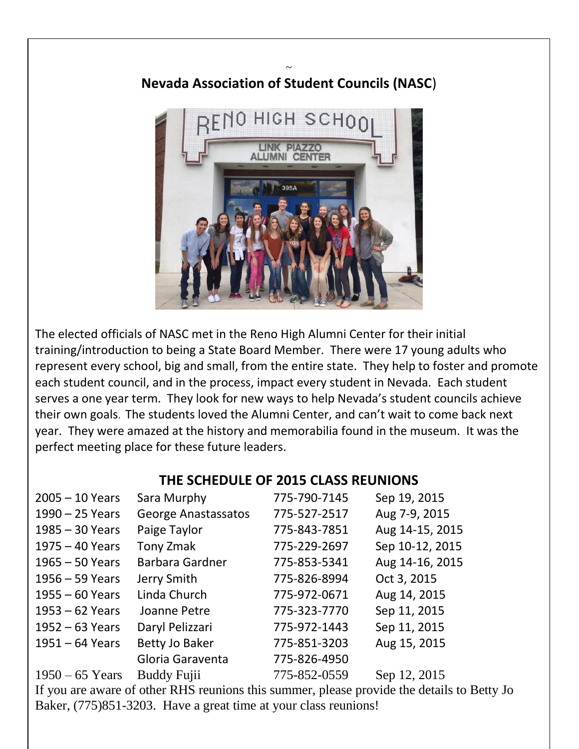# RFNO HIGH SCHO

### $\ddot{\phantom{0}}$ **Nevada Association of Student Councils (NASC**)

The elected officials of NASC met in the Reno High Alumni Center for their initial training/introduction to being a State Board Member. There were 17 young adults who represent every school, big and small, from the entire state. They help to foster and promote each student council, and in the process, impact every student in Nevada. Each student serves a one year term. They look for new ways to help Nevada's student councils achieve their own goals. The students loved the Alumni Center, and can't wait to come back next year. They were amazed at the history and memorabilia found in the museum. It was the perfect meeting place for these future leaders.

### **THE SCHEDULE OF 2015 CLASS REUNIONS**

| $2005 - 10$ Years | Sara Murphy                | 775-790-7145 | Sep 19, 2015    |
|-------------------|----------------------------|--------------|-----------------|
| 1990 - 25 Years   | <b>George Anastassatos</b> | 775-527-2517 | Aug 7-9, 2015   |
| 1985 - 30 Years   | Paige Taylor               | 775-843-7851 | Aug 14-15, 2015 |
| $1975 - 40$ Years | Tony Zmak                  | 775-229-2697 | Sep 10-12, 2015 |
| $1965 - 50$ Years | Barbara Gardner            | 775-853-5341 | Aug 14-16, 2015 |
| $1956 - 59$ Years | Jerry Smith                | 775-826-8994 | Oct 3, 2015     |
| $1955 - 60$ Years | Linda Church               | 775-972-0671 | Aug 14, 2015    |
| $1953 - 62$ Years | Joanne Petre               | 775-323-7770 | Sep 11, 2015    |
| $1952 - 63$ Years | Daryl Pelizzari            | 775-972-1443 | Sep 11, 2015    |
| $1951 - 64$ Years | <b>Betty Jo Baker</b>      | 775-851-3203 | Aug 15, 2015    |
|                   | Gloria Garaventa           | 775-826-4950 |                 |
| $1950 - 65$ Years | <b>Buddy Fujii</b>         | 775-852-0559 | Sep 12, 2015    |

If you are aware of other RHS reunions this summer, please provide the details to Betty Jo Baker, (775)851-3203. Have a great time at your class reunions!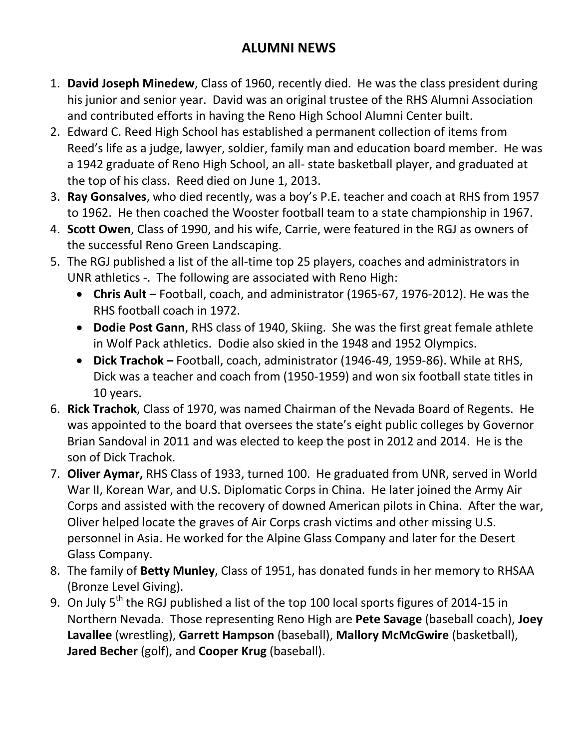# **ALUMNI NEWS**

- 1. **David Joseph Minedew**, Class of 1960, recently died. He was the class president during his junior and senior year. David was an original trustee of the RHS Alumni Association and contributed efforts in having the Reno High School Alumni Center built.
- 2. Edward C. Reed High School has established a permanent collection of items from Reed's life as a judge, lawyer, soldier, family man and education board member. He was a 1942 graduate of Reno High School, an all- state basketball player, and graduated at the top of his class. Reed died on June 1, 2013.
- 3. **Ray Gonsalves**, who died recently, was a boy's P.E. teacher and coach at RHS from 1957 to 1962. He then coached the Wooster football team to a state championship in 1967.
- 4. **Scott Owen**, Class of 1990, and his wife, Carrie, were featured in the RGJ as owners of the successful Reno Green Landscaping.
- 5. The RGJ published a list of the all-time top 25 players, coaches and administrators in UNR athletics -. The following are associated with Reno High:
	- **Chris Ault** Football, coach, and administrator (1965-67, 1976-2012). He was the RHS football coach in 1972.
	- **Dodie Post Gann**, RHS class of 1940, Skiing. She was the first great female athlete in Wolf Pack athletics. Dodie also skied in the 1948 and 1952 Olympics.
	- **Dick Trachok –** Football, coach, administrator (1946-49, 1959-86). While at RHS, Dick was a teacher and coach from (1950-1959) and won six football state titles in 10 years.
- 6. **Rick Trachok**, Class of 1970, was named Chairman of the Nevada Board of Regents. He was appointed to the board that oversees the state's eight public colleges by Governor Brian Sandoval in 2011 and was elected to keep the post in 2012 and 2014. He is the son of Dick Trachok.
- 7. **Oliver Aymar,** RHS Class of 1933, turned 100. He graduated from UNR, served in World War II, Korean War, and U.S. Diplomatic Corps in China. He later joined the Army Air Corps and assisted with the recovery of downed American pilots in China. After the war, Oliver helped locate the graves of Air Corps crash victims and other missing U.S. personnel in Asia. He worked for the Alpine Glass Company and later for the Desert Glass Company.
- 8. The family of **Betty Munley**, Class of 1951, has donated funds in her memory to RHSAA (Bronze Level Giving).
- 9. On July 5<sup>th</sup> the RGJ published a list of the top 100 local sports figures of 2014-15 in Northern Nevada. Those representing Reno High are **Pete Savage** (baseball coach), **Joey Lavallee** (wrestling), **Garrett Hampson** (baseball), **Mallory McMcGwire** (basketball), **Jared Becher** (golf), and **Cooper Krug** (baseball).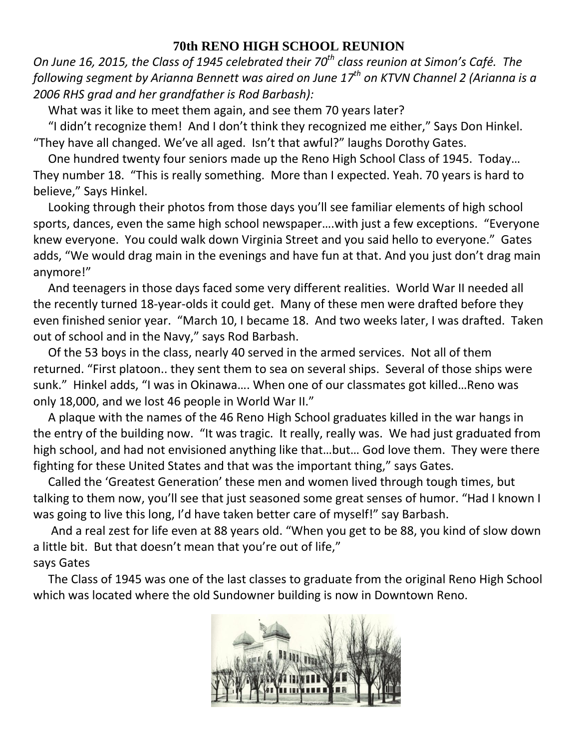### **70th RENO HIGH SCHOOL REUNION**

*On June 16, 2015, the Class of 1945 celebrated their 70th class reunion at Simon's Café. The following segment by Arianna Bennett was aired on June 17th on KTVN Channel 2 (Arianna is a 2006 RHS grad and her grandfather is Rod Barbash):*

What was it like to meet them again, and see them 70 years later?

 "I didn't recognize them! And I don't think they recognized me either," Says Don Hinkel. "They have all changed. We've all aged. Isn't that awful?" laughs Dorothy Gates.

 One hundred twenty four seniors made up the Reno High School Class of 1945. Today… They number 18. "This is really something. More than I expected. Yeah. 70 years is hard to believe," Says Hinkel.

 Looking through their photos from those days you'll see familiar elements of high school sports, dances, even the same high school newspaper….with just a few exceptions. "Everyone knew everyone. You could walk down Virginia Street and you said hello to everyone." Gates adds, "We would drag main in the evenings and have fun at that. And you just don't drag main anymore!"

 And teenagers in those days faced some very different realities. World War II needed all the recently turned 18-year-olds it could get. Many of these men were drafted before they even finished senior year. "March 10, I became 18. And two weeks later, I was drafted. Taken out of school and in the Navy," says Rod Barbash.

 Of the 53 boys in the class, nearly 40 served in the armed services. Not all of them returned. "First platoon.. they sent them to sea on several ships. Several of those ships were sunk." Hinkel adds, "I was in Okinawa…. When one of our classmates got killed…Reno was only 18,000, and we lost 46 people in World War II."

 A plaque with the names of the 46 Reno High School graduates killed in the war hangs in the entry of the building now. "It was tragic. It really, really was. We had just graduated from high school, and had not envisioned anything like that…but… God love them. They were there fighting for these United States and that was the important thing," says Gates.

 Called the 'Greatest Generation' these men and women lived through tough times, but talking to them now, you'll see that just seasoned some great senses of humor. "Had I known I was going to live this long, I'd have taken better care of myself!" say Barbash.

 And a real zest for life even at 88 years old. "When you get to be 88, you kind of slow down a little bit. But that doesn't mean that you're out of life," says Gates

 The Class of 1945 was one of the last classes to graduate from the original Reno High School which was located where the old Sundowner building is now in Downtown Reno.

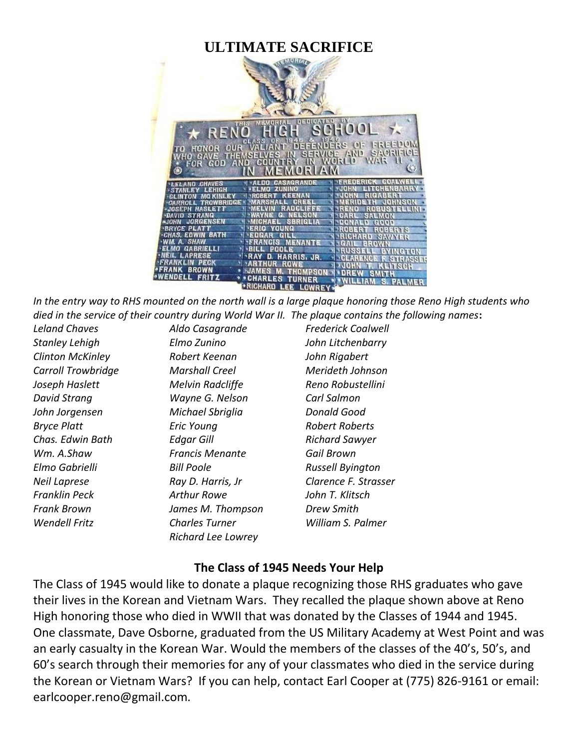## **ULTIMATE SACRIFICE**



*In the entry way to RHS mounted on the north wall is a large plaque honoring those Reno High students who died in the service of their country during World War II. The plaque contains the following names***:**

*Stanley Lehigh Elmo Zunino John Litchenbarry Clinton McKinley Robert Keenan John Rigabert Carroll Trowbridge Marshall Creel Merideth Johnson Joseph Haslett Melvin Radcliffe Reno Robustellini David Strang Wayne G. Nelson Carl Salmon John Jorgensen Michael Sbriglia Donald Good Bryce Platt Eric Young Robert Roberts Chas. Edwin Bath Edgar Gill Richard Sawyer Wm. A.Shaw Francis Menante Gail Brown Elmo Gabrielli Bill Poole Russell Byington Franklin Peck Arthur Rowe John T. Klitsch Frank Brown James M. Thompson Drew Smith Wendell Fritz Charles Turner William S. Palmer Richard Lee Lowrey*

*Leland Chaves Aldo Casagrande Frederick Coalwell Neil Laprese Ray D. Harris, Jr Clarence F. Strasser*

### **The Class of 1945 Needs Your Help**

The Class of 1945 would like to donate a plaque recognizing those RHS graduates who gave their lives in the Korean and Vietnam Wars. They recalled the plaque shown above at Reno High honoring those who died in WWII that was donated by the Classes of 1944 and 1945. One classmate, Dave Osborne, graduated from the US Military Academy at West Point and was an early casualty in the Korean War. Would the members of the classes of the 40's, 50's, and 60's search through their memories for any of your classmates who died in the service during the Korean or Vietnam Wars? If you can help, contact Earl Cooper at (775) 826-9161 or email: earlcooper.reno@gmail.com.